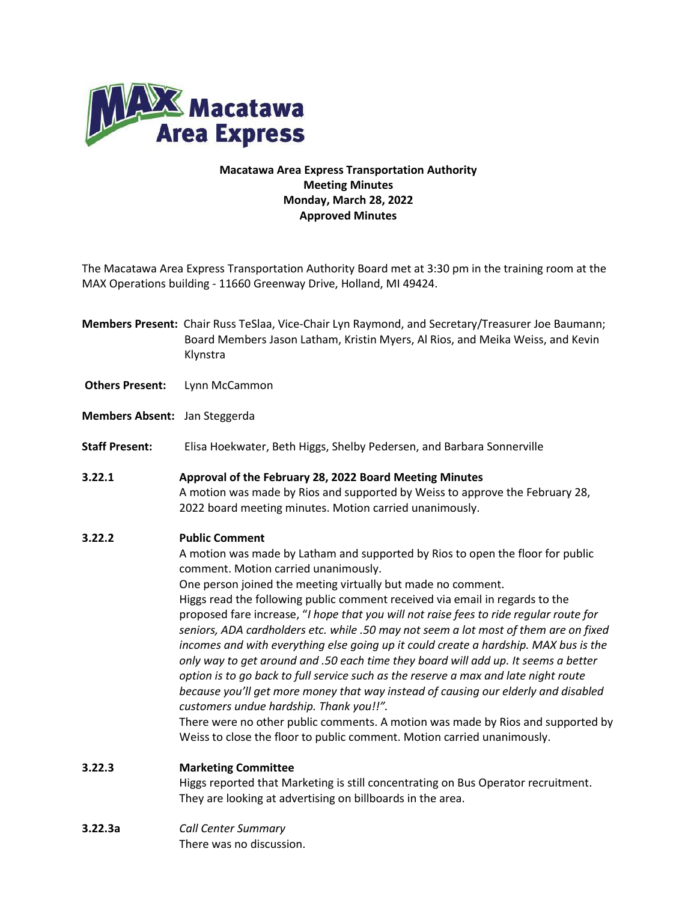

## **Macatawa Area Express Transportation Authority Meeting Minutes Monday, March 28, 2022 Approved Minutes**

The Macatawa Area Express Transportation Authority Board met at 3:30 pm in the training room at the MAX Operations building - 11660 Greenway Drive, Holland, MI 49424.

- **Members Present:** Chair Russ TeSlaa, Vice-Chair Lyn Raymond, and Secretary/Treasurer Joe Baumann; Board Members Jason Latham, Kristin Myers, Al Rios, and Meika Weiss, and Kevin Klynstra
- **Others Present:** Lynn McCammon
- **Members Absent:** Jan Steggerda
- **Staff Present:** Elisa Hoekwater, Beth Higgs, Shelby Pedersen, and Barbara Sonnerville
- **3.22.1 Approval of the February 28, 2022 Board Meeting Minutes** A motion was made by Rios and supported by Weiss to approve the February 28, 2022 board meeting minutes. Motion carried unanimously.

## **3.22.2 Public Comment**

A motion was made by Latham and supported by Rios to open the floor for public comment. Motion carried unanimously.

One person joined the meeting virtually but made no comment. Higgs read the following public comment received via email in regards to the proposed fare increase, "*I hope that you will not raise fees to ride regular route for seniors, ADA cardholders etc. while .50 may not seem a lot most of them are on fixed incomes and with everything else going up it could create a hardship. MAX bus is the only way to get around and .50 each time they board will add up. It seems a better option is to go back to full service such as the reserve a max and late night route because you'll get more money that way instead of causing our elderly and disabled customers undue hardship. Thank you!!".*

There were no other public comments. A motion was made by Rios and supported by Weiss to close the floor to public comment. Motion carried unanimously.

**3.22.3 Marketing Committee**

Higgs reported that Marketing is still concentrating on Bus Operator recruitment. They are looking at advertising on billboards in the area.

**3.22.3a** *Call Center Summary* There was no discussion.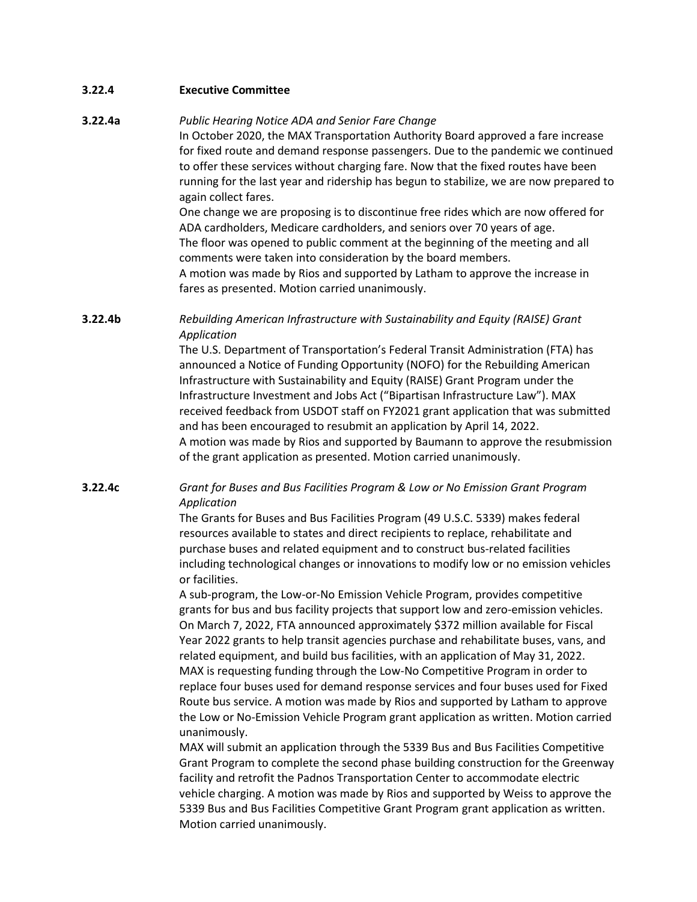| 3.22.4              | <b>Executive Committee</b>                                                                                                                                                                                                                                                                                                                                                                                                                                                                                                                                                                                                                                                                                                                                                                                                                                                                                                                                                                                                                                                  |
|---------------------|-----------------------------------------------------------------------------------------------------------------------------------------------------------------------------------------------------------------------------------------------------------------------------------------------------------------------------------------------------------------------------------------------------------------------------------------------------------------------------------------------------------------------------------------------------------------------------------------------------------------------------------------------------------------------------------------------------------------------------------------------------------------------------------------------------------------------------------------------------------------------------------------------------------------------------------------------------------------------------------------------------------------------------------------------------------------------------|
| 3.22.4a             | Public Hearing Notice ADA and Senior Fare Change<br>In October 2020, the MAX Transportation Authority Board approved a fare increase<br>for fixed route and demand response passengers. Due to the pandemic we continued<br>to offer these services without charging fare. Now that the fixed routes have been<br>running for the last year and ridership has begun to stabilize, we are now prepared to<br>again collect fares.<br>One change we are proposing is to discontinue free rides which are now offered for<br>ADA cardholders, Medicare cardholders, and seniors over 70 years of age.<br>The floor was opened to public comment at the beginning of the meeting and all<br>comments were taken into consideration by the board members.<br>A motion was made by Rios and supported by Latham to approve the increase in<br>fares as presented. Motion carried unanimously.                                                                                                                                                                                     |
| 3.22.4 <sub>b</sub> | Rebuilding American Infrastructure with Sustainability and Equity (RAISE) Grant<br>Application<br>The U.S. Department of Transportation's Federal Transit Administration (FTA) has                                                                                                                                                                                                                                                                                                                                                                                                                                                                                                                                                                                                                                                                                                                                                                                                                                                                                          |
|                     | announced a Notice of Funding Opportunity (NOFO) for the Rebuilding American<br>Infrastructure with Sustainability and Equity (RAISE) Grant Program under the<br>Infrastructure Investment and Jobs Act ("Bipartisan Infrastructure Law"). MAX<br>received feedback from USDOT staff on FY2021 grant application that was submitted<br>and has been encouraged to resubmit an application by April 14, 2022.<br>A motion was made by Rios and supported by Baumann to approve the resubmission<br>of the grant application as presented. Motion carried unanimously.                                                                                                                                                                                                                                                                                                                                                                                                                                                                                                        |
| 3.22.4c             | Grant for Buses and Bus Facilities Program & Low or No Emission Grant Program<br>Application<br>The Grants for Buses and Bus Facilities Program (49 U.S.C. 5339) makes federal<br>resources available to states and direct recipients to replace, rehabilitate and<br>purchase buses and related equipment and to construct bus-related facilities<br>including technological changes or innovations to modify low or no emission vehicles<br>or facilities.<br>A sub-program, the Low-or-No Emission Vehicle Program, provides competitive<br>grants for bus and bus facility projects that support low and zero-emission vehicles.<br>On March 7, 2022, FTA announced approximately \$372 million available for Fiscal<br>Year 2022 grants to help transit agencies purchase and rehabilitate buses, vans, and<br>related equipment, and build bus facilities, with an application of May 31, 2022.<br>MAX is requesting funding through the Low-No Competitive Program in order to<br>replace four buses used for demand response services and four buses used for Fixed |
|                     | Route bus service. A motion was made by Rios and supported by Latham to approve<br>the Low or No-Emission Vehicle Program grant application as written. Motion carried<br>unanimously.<br>MAX will submit an application through the 5339 Bus and Bus Facilities Competitive                                                                                                                                                                                                                                                                                                                                                                                                                                                                                                                                                                                                                                                                                                                                                                                                |

MAX will submit an application through the 5339 Bus and Bus Facilities Competitive Grant Program to complete the second phase building construction for the Greenway facility and retrofit the Padnos Transportation Center to accommodate electric vehicle charging. A motion was made by Rios and supported by Weiss to approve the 5339 Bus and Bus Facilities Competitive Grant Program grant application as written. Motion carried unanimously.